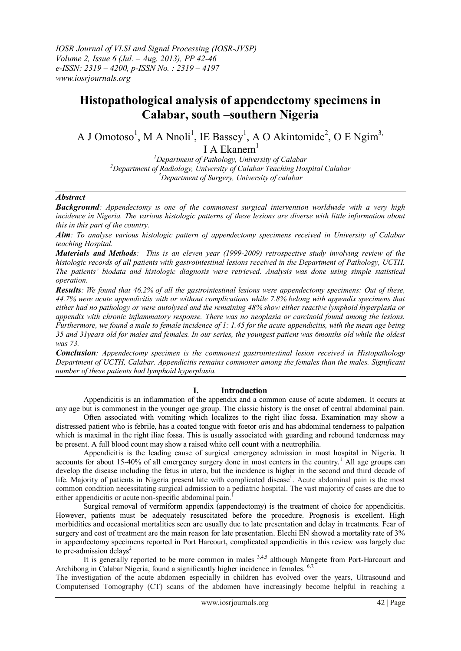# **Histopathological analysis of appendectomy specimens in Calabar, south –southern Nigeria**

A J Omotoso<sup>1</sup>, M A Nnoli<sup>1</sup>, IE Bassey<sup>1</sup>, A O Akintomide<sup>2</sup>, O E Ngim<sup>3,</sup>

I A  $Ekanem<sup>1</sup>$ 

*<sup>1</sup>Department of Pathology, University of Calabar <sup>2</sup>Department of Radiology, University of Calabar Teaching Hospital Calabar <sup>3</sup>Department of Surgery, University of calabar*

## *Abstract*

*Background: Appendectomy is one of the commonest surgical intervention worldwide with a very high incidence in Nigeria. The various histologic patterns of these lesions are diverse with little information about this in this part of the country.*

*Aim: To analyse various histologic pattern of appendectomy specimens received in University of Calabar teaching Hospital.*

*Materials and Methods: This is an eleven year (1999-2009) retrospective study involving review of the histologic records of all patients with gastrointestinal lesions received in the Department of Pathology, UCTH. The patients' biodata and histologic diagnosis were retrieved. Analysis was done using simple statistical operation.* 

*Results: We found that 46.2% of all the gastrointestinal lesions were appendectomy specimens: Out of these, 44.7% were acute appendicitis with or without complications while 7.8% belong with appendix specimens that either had no pathology or were autolysed and the remaining 48% show either reactive lymphoid hyperplasia or appendix with chronic inflammatory response. There was no neoplasia or carcinoid found among the lesions. Furthermore, we found a male to female incidence of 1: 1.45 for the acute appendicitis, with the mean age being 35 and 31years old for males and females. In our series, the youngest patient was 6months old while the oldest was 73.*

*Conclusion: Appendectomy specimen is the commonest gastrointestinal lesion received in Histopathology Department of UCTH, Calabar. Appendicitis remains commoner among the females than the males. Significant number of these patients had lymphoid hyperplasia.*

## **I. Introduction**

Appendicitis is an inflammation of the appendix and a common cause of acute abdomen. It occurs at any age but is commonest in the younger age group. The classic history is the onset of central abdominal pain.

Often associated with vomiting which localizes to the right iliac fossa. Examination may show a distressed patient who is febrile, has a coated tongue with foetor oris and has abdominal tenderness to palpation which is maximal in the right iliac fossa. This is usually associated with guarding and rebound tenderness may be present. A full blood count may show a raised white cell count with a neutrophilia.

Appendicitis is the leading cause of surgical emergency admission in most hospital in Nigeria. It accounts for about 15-40% of all emergency surgery done in most centers in the country.<sup>1</sup> All age groups can develop the disease including the fetus in utero, but the incidence is higher in the second and third decade of life. Majority of patients in Nigeria present late with complicated disease<sup>1</sup>. Acute abdominal pain is the most common condition necessitating surgical admission to a pediatric hospital. The vast majority of cases are due to either appendicitis or acute non-specific abdominal pain.<sup>1</sup>

Surgical removal of vermiform appendix (appendectomy) is the treatment of choice for appendicitis. However, patients must be adequately resuscitated before the procedure. Prognosis is excellent. High morbidities and occasional mortalities seen are usually due to late presentation and delay in treatments. Fear of surgery and cost of treatment are the main reason for late presentation. Elechi EN showed a mortality rate of 3% in appendectomy specimens reported in Port Harcourt, complicated appendicitis in this review was largely due to pre-admission delays<sup>2</sup>

It is generally reported to be more common in males  $3,4,5$  although Mangete from Port-Harcourt and Archibong in Calabar Nigeria, found a significantly higher incidence in females. [6,7.](http://www.annalsafrmed.org/article.asp?issn=1596-3519;year=2010;volume=9;issue=4;spage=213;epage=217;aulast=Oguntola#ref10)

The investigation of the acute abdomen especially in children has evolved over the years, Ultrasound and Computerised Tomography (CT) scans of the abdomen have increasingly become helpful in reaching a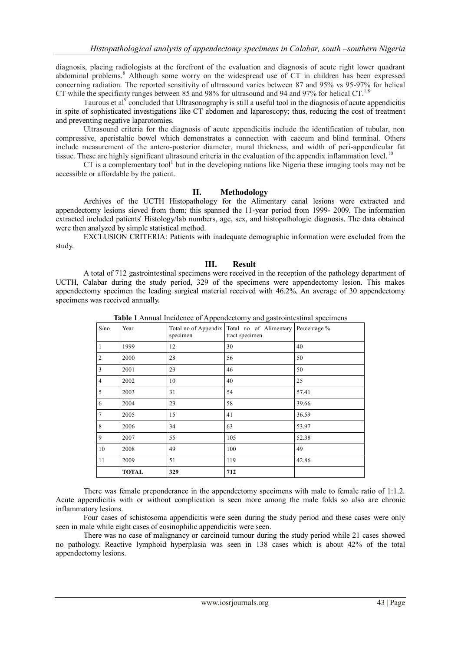diagnosis, placing radiologists at the forefront of the evaluation and diagnosis of acute right lower quadrant abdominal problems.<sup>8</sup> Although some worry on the widespread use of CT in children has been expressed concerning radiation. The reported sensitivity of ultrasound varies between 87 and 95% vs 95-97% for helical CT while the specificity ranges between 85 and 98% for ultrasound and 94 and 97% for helical CT.<sup>1,8</sup>

Taurous et al<sup>9</sup> concluded that Ultrasonography is still a useful tool in the diagnosis of acute appendicitis in spite of sophisticated investigations like CT abdomen and laparoscopy; thus, reducing the cost of treatment and preventing negative laparotomies.

Ultrasound criteria for the diagnosis of acute appendicitis include the identification of tubular, non compressive, aperistaltic bowel which demonstrates a connection with caecum and blind terminal. Others include measurement of the antero-posterior diameter, mural thickness, and width of peri-appendicular fat tissue. These are highly significant ultrasound criteria in the evaluation of the appendix inflammation level.<sup>10</sup>

CT is a complementary tool<sup>1</sup> but in the developing nations like Nigeria these imaging tools may not be accessible or affordable by the patient.

#### **II. Methodology**

Archives of the UCTH Histopathology for the Alimentary canal lesions were extracted and appendectomy lesions sieved from them; this spanned the 11-year period from 1999- 2009. The information extracted included patients' Histology/lab numbers, age, sex, and histopathologic diagnosis. The data obtained were then analyzed by simple statistical method.

EXCLUSION CRITERIA: Patients with inadequate demographic information were excluded from the study.

#### **III. Result**

A total of 712 gastrointestinal specimens were received in the reception of the pathology department of UCTH, Calabar during the study period, 329 of the specimens were appendectomy lesion. This makes appendectomy specimen the leading surgical material received with 46.2%. An average of 30 appendectomy specimens was received annually.

| S/no           | Year         | Total no of Appendix<br>specimen | Total no of Alimentary Percentage %<br>tract specimen. |       |
|----------------|--------------|----------------------------------|--------------------------------------------------------|-------|
| $\mathbf{1}$   | 1999         | 12                               | 30                                                     | 40    |
| $\overline{2}$ | 2000         | 28                               | 56                                                     | 50    |
| 3              | 2001         | 23                               | 46                                                     | 50    |
| $\overline{4}$ | 2002         | 10                               | 40                                                     | 25    |
| 5              | 2003         | 31                               | 54                                                     | 57.41 |
| 6              | 2004         | 23                               | 58                                                     | 39.66 |
| 7              | 2005         | 15                               | 41                                                     | 36.59 |
| 8              | 2006         | 34                               | 63                                                     | 53.97 |
| 9              | 2007         | 55                               | 105                                                    | 52.38 |
| 10             | 2008         | 49                               | 100                                                    | 49    |
| 11             | 2009         | 51                               | 119                                                    | 42.86 |
|                | <b>TOTAL</b> | 329                              | 712                                                    |       |

**Table 1** Annual Incidence of Appendectomy and gastrointestinal specimens

There was female preponderance in the appendectomy specimens with male to female ratio of 1:1.2. Acute appendicitis with or without complication is seen more among the male folds so also are chronic inflammatory lesions.

Four cases of schistosoma appendicitis were seen during the study period and these cases were only seen in male while eight cases of eosinophilic appendicitis were seen.

There was no case of malignancy or carcinoid tumour during the study period while 21 cases showed no pathology. Reactive lymphoid hyperplasia was seen in 138 cases which is about 42% of the total appendectomy lesions.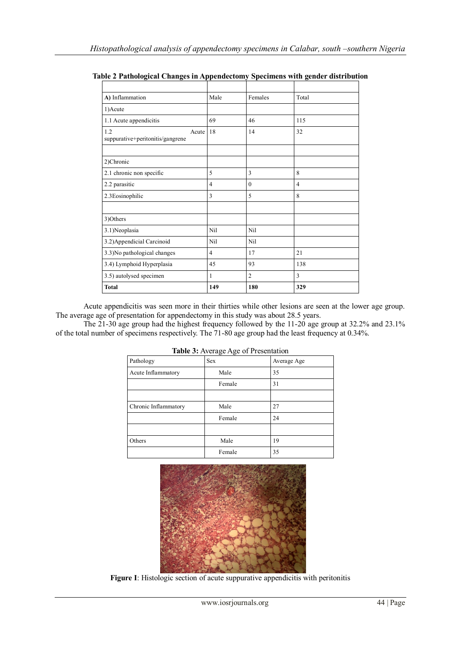| A) Inflammation                                  | Male           | Females        | Total          |
|--------------------------------------------------|----------------|----------------|----------------|
| 1) Acute                                         |                |                |                |
| 1.1 Acute appendicitis                           | 69             | 46             | 115            |
| 1.2<br>Acute<br>suppurative+peritonitis/gangrene | 18             | 14             | 32             |
|                                                  |                |                |                |
| 2)Chronic                                        |                |                |                |
| 2.1 chronic non specific                         | 5              | 3              | 8              |
| 2.2 parasitic                                    | $\overline{4}$ | $\theta$       | $\overline{4}$ |
| 2.3Eosinophilic                                  | 3              | 5              | 8              |
|                                                  |                |                |                |
| 3) Others                                        |                |                |                |
| 3.1) Neoplasia                                   | Nil            | Nil            |                |
| 3.2) Appendicial Carcinoid                       | Nil            | Nil            |                |
| 3.3) No pathological changes                     | $\overline{4}$ | 17             | 21             |
| 3.4) Lymphoid Hyperplasia                        | 45             | 93             | 138            |
| 3.5) autolysed specimen                          | 1              | $\overline{c}$ | 3              |
| <b>Total</b>                                     | 149            | 180            | 329            |

**Table 2 Pathological Changes in Appendectomy Specimens with gender distribution**

Acute appendicitis was seen more in their thirties while other lesions are seen at the lower age group. The average age of presentation for appendectomy in this study was about 28.5 years.

The 21-30 age group had the highest frequency followed by the 11-20 age group at 32.2% and 23.1% of the total number of specimens respectively. The 71-80 age group had the least frequency at 0.34%.

| Pathology            | <b>rapic 5.</b> Average Age of Freschlation<br><b>Sex</b> | Average Age |
|----------------------|-----------------------------------------------------------|-------------|
| Acute Inflammatory   | Male                                                      | 35          |
|                      | Female                                                    | 31          |
|                      |                                                           |             |
| Chronic Inflammatory | Male                                                      | 27          |
|                      | Female                                                    | 24          |
|                      |                                                           |             |
| Others               | Male                                                      | 19          |
|                      | Female                                                    | 35          |

Table 3: Average Age of Presentation



**Figure I**: Histologic section of acute suppurative appendicitis with peritonitis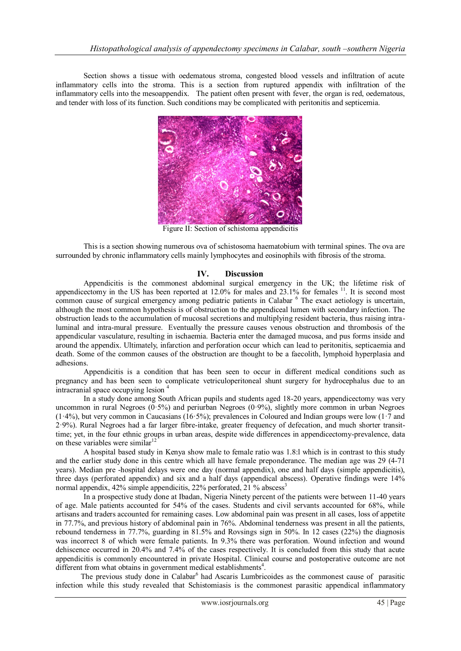Section shows a tissue with oedematous stroma, congested blood vessels and infiltration of acute inflammatory cells into the stroma. This is a section from ruptured appendix with infiltration of the inflammatory cells into the mesoappendix. The patient often present with fever, the organ is red, oedematous, and tender with loss of its function. Such conditions may be complicated with peritonitis and septicemia.



Figure II: Section of schistoma appendicitis

This is a section showing numerous ova of schistosoma haematobium with terminal spines. The ova are surrounded by chronic inflammatory cells mainly lymphocytes and eosinophils with fibrosis of the stroma.

## **IV. Discussion**

Appendicitis is the commonest abdominal surgical emergency in the UK; the lifetime risk of appendicectomy in the US has been reported at  $12.0\%$  for males and  $23.1\%$  for females  $11$ . It is second most common cause of surgical emergency among pediatric patients in Calabar  $6\sigma$  The exact aetiology is uncertain, although the most common hypothesis is of obstruction to the appendiceal lumen with secondary infection. The obstruction leads to the accumulation of mucosal secretions and multiplying resident bacteria, thus raising intraluminal and intra-mural pressure. Eventually the pressure causes venous obstruction and thrombosis of the appendicular vasculature, resulting in ischaemia. Bacteria enter the damaged mucosa, and pus forms inside and around the appendix. Ultimately, infarction and perforation occur which can lead to peritonitis, septicaemia and death. Some of the common causes of the obstruction are thought to be a faecolith, lymphoid hyperplasia and adhesions.

Appendicitis is a condition that has been seen to occur in different medical conditions such as pregnancy and has been seen to complicate vetriculoperitoneal shunt surgery for hydrocephalus due to an intracranial space occupying lesion <sup>4</sup>

In a study done among South African pupils and students aged 18-20 years, appendicectomy was very uncommon in rural Negroes  $(0.5\%)$  and periurban Negroes  $(0.9\%)$ , slightly more common in urban Negroes  $(1.4\%)$ , but very common in Caucasians (16.5%); prevalences in Coloured and Indian groups were low (1.7 and 2·9%). Rural Negroes had a far larger fibre-intake, greater frequency of defecation, and much shorter transittime; yet, in the four ethnic groups in urban areas, despite wide differences in appendicectomy-prevalence, data on these variables were similar<sup>12</sup>

A hospital based study in Kenya show male to female ratio was 1.8:l which is in contrast to this study and the earlier study done in this centre which all have female preponderance. The median age was 29 (4-71 years). Median pre -hospital delays were one day (normal appendix), one and half days (simple appendicitis), three days (perforated appendix) and six and a half days (appendical abscess). Operative findings were 14% normal appendix, 42% simple appendicitis, 22% perforated, 21 % abscess<sup>3</sup>

In a prospective study done at Ibadan, Nigeria Ninety percent of the patients were between 11-40 years of age. Male patients accounted for 54% of the cases. Students and civil servants accounted for 68%, while artisans and traders accounted for remaining cases. Low abdominal pain was present in all cases, loss of appetite in 77.7%, and previous history of abdominal pain in 76%. Abdominal tenderness was present in all the patients, rebound tenderness in 77.7%, guarding in 81.5% and Rovsings sign in 50%. In 12 cases (22%) the diagnosis was incorrect 8 of which were female patients. In 9.3% there was perforation. Wound infection and wound dehiscence occurred in 20.4% and 7.4% of the cases respectively. It is concluded from this study that acute appendicitis is commonly encountered in private Hospital. Clinical course and postoperative outcome are not different from what obtains in government medical establishments<sup>4</sup>.

The previous study done in Calabar<sup>6</sup> had Ascaris Lumbricoides as the commonest cause of parasitic infection while this study revealed that Schistomiasis is the commonest parasitic appendical inflammatory